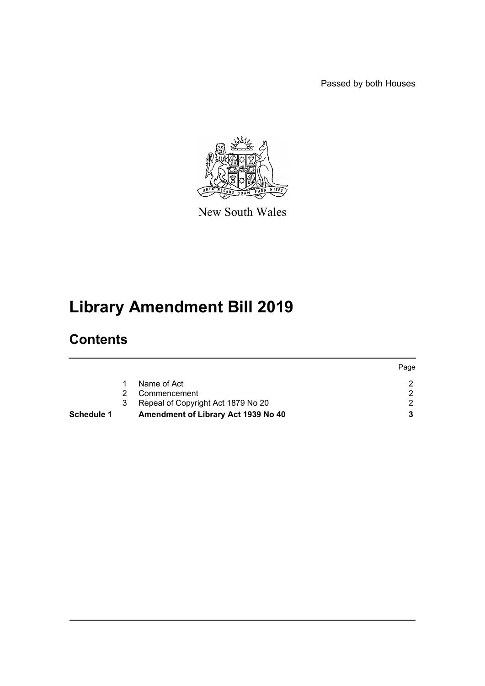Passed by both Houses



New South Wales

# **Library Amendment Bill 2019**

# **Contents**

|                                     | Page |
|-------------------------------------|------|
| Name of Act                         |      |
| Commencement                        |      |
| Repeal of Copyright Act 1879 No 20  |      |
| Amendment of Library Act 1939 No 40 |      |
|                                     | 3    |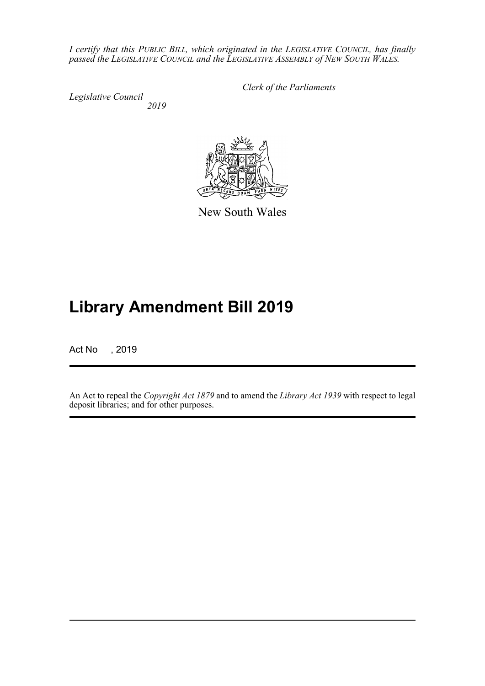*I certify that this PUBLIC BILL, which originated in the LEGISLATIVE COUNCIL, has finally passed the LEGISLATIVE COUNCIL and the LEGISLATIVE ASSEMBLY of NEW SOUTH WALES.*

*Legislative Council 2019* *Clerk of the Parliaments*



New South Wales

# **Library Amendment Bill 2019**

Act No , 2019

An Act to repeal the *Copyright Act 1879* and to amend the *Library Act 1939* with respect to legal deposit libraries; and for other purposes.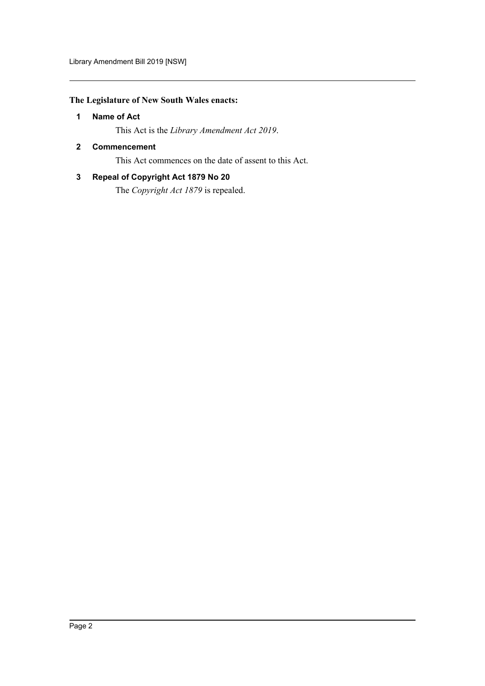# <span id="page-2-0"></span>**The Legislature of New South Wales enacts:**

## **1 Name of Act**

This Act is the *Library Amendment Act 2019*.

### <span id="page-2-1"></span>**2 Commencement**

This Act commences on the date of assent to this Act.

## <span id="page-2-2"></span>**3 Repeal of Copyright Act 1879 No 20**

The *Copyright Act 1879* is repealed.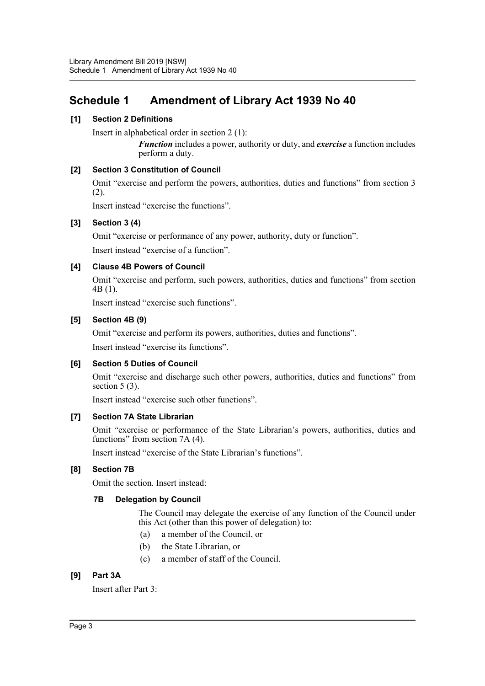# <span id="page-3-0"></span>**Schedule 1 Amendment of Library Act 1939 No 40**

## **[1] Section 2 Definitions**

Insert in alphabetical order in section 2 (1):

*Function* includes a power, authority or duty, and *exercise* a function includes perform a duty.

### **[2] Section 3 Constitution of Council**

Omit "exercise and perform the powers, authorities, duties and functions" from section 3 (2).

Insert instead "exercise the functions".

### **[3] Section 3 (4)**

Omit "exercise or performance of any power, authority, duty or function".

Insert instead "exercise of a function".

### **[4] Clause 4B Powers of Council**

Omit "exercise and perform, such powers, authorities, duties and functions" from section 4B (1).

Insert instead "exercise such functions".

#### **[5] Section 4B (9)**

Omit "exercise and perform its powers, authorities, duties and functions".

Insert instead "exercise its functions".

### **[6] Section 5 Duties of Council**

Omit "exercise and discharge such other powers, authorities, duties and functions" from section 5 (3).

Insert instead "exercise such other functions".

### **[7] Section 7A State Librarian**

Omit "exercise or performance of the State Librarian's powers, authorities, duties and functions" from section 7A (4).

Insert instead "exercise of the State Librarian's functions".

# **[8] Section 7B**

Omit the section. Insert instead:

#### **7B Delegation by Council**

The Council may delegate the exercise of any function of the Council under this Act (other than this power of delegation) to:

- (a) a member of the Council, or
- (b) the State Librarian, or
- (c) a member of staff of the Council.

# **[9] Part 3A**

Insert after Part 3: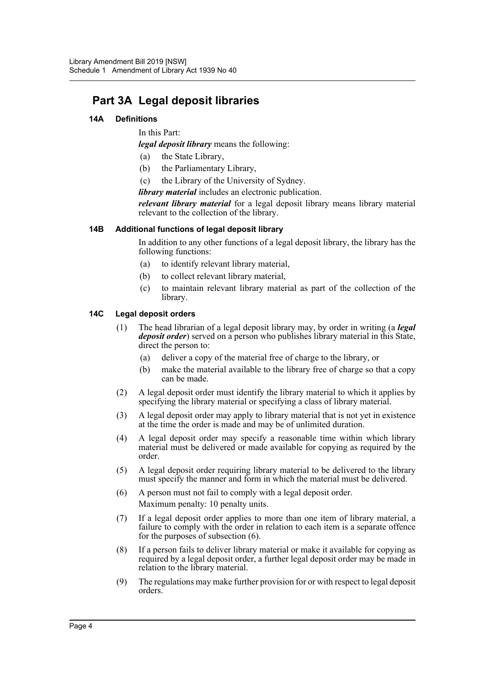# **Part 3A Legal deposit libraries**

#### **14A Definitions**

In this Part:

*legal deposit library* means the following:

- (a) the State Library,
- (b) the Parliamentary Library,
- (c) the Library of the University of Sydney.

*library material* includes an electronic publication.

*relevant library material* for a legal deposit library means library material relevant to the collection of the library.

#### **14B Additional functions of legal deposit library**

In addition to any other functions of a legal deposit library, the library has the following functions:

- (a) to identify relevant library material,
- (b) to collect relevant library material,
- (c) to maintain relevant library material as part of the collection of the library.

#### **14C Legal deposit orders**

- (1) The head librarian of a legal deposit library may, by order in writing (a *legal deposit order*) served on a person who publishes library material in this State, direct the person to:
	- (a) deliver a copy of the material free of charge to the library, or
	- (b) make the material available to the library free of charge so that a copy can be made.
- (2) A legal deposit order must identify the library material to which it applies by specifying the library material or specifying a class of library material.
- (3) A legal deposit order may apply to library material that is not yet in existence at the time the order is made and may be of unlimited duration.
- (4) A legal deposit order may specify a reasonable time within which library material must be delivered or made available for copying as required by the order.
- (5) A legal deposit order requiring library material to be delivered to the library must specify the manner and form in which the material must be delivered.
- (6) A person must not fail to comply with a legal deposit order. Maximum penalty: 10 penalty units.
- (7) If a legal deposit order applies to more than one item of library material, a failure to comply with the order in relation to each item is a separate offence for the purposes of subsection (6).
- (8) If a person fails to deliver library material or make it available for copying as required by a legal deposit order, a further legal deposit order may be made in relation to the library material.
- (9) The regulations may make further provision for or with respect to legal deposit orders.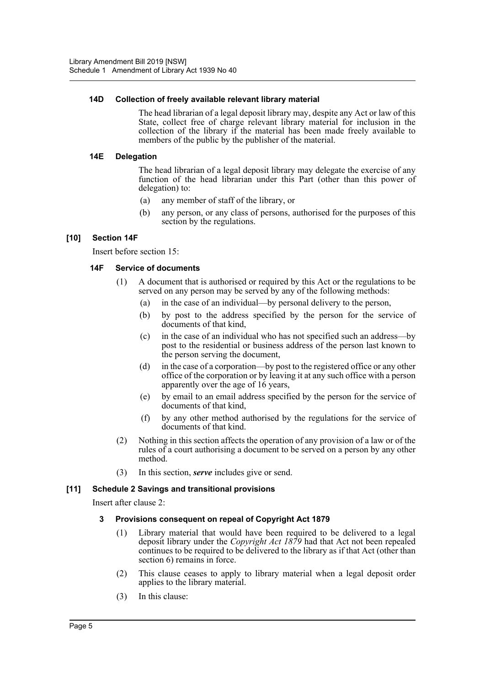#### **14D Collection of freely available relevant library material**

The head librarian of a legal deposit library may, despite any Act or law of this State, collect free of charge relevant library material for inclusion in the collection of the library if the material has been made freely available to members of the public by the publisher of the material.

#### **14E Delegation**

The head librarian of a legal deposit library may delegate the exercise of any function of the head librarian under this Part (other than this power of delegation) to:

- (a) any member of staff of the library, or
- (b) any person, or any class of persons, authorised for the purposes of this section by the regulations.

### **[10] Section 14F**

Insert before section 15:

#### **14F Service of documents**

- (1) A document that is authorised or required by this Act or the regulations to be served on any person may be served by any of the following methods:
	- (a) in the case of an individual—by personal delivery to the person,
	- (b) by post to the address specified by the person for the service of documents of that kind,
	- (c) in the case of an individual who has not specified such an address—by post to the residential or business address of the person last known to the person serving the document,
	- (d) in the case of a corporation—by post to the registered office or any other office of the corporation or by leaving it at any such office with a person apparently over the age of 16 years,
	- (e) by email to an email address specified by the person for the service of documents of that kind,
	- (f) by any other method authorised by the regulations for the service of documents of that kind.
- (2) Nothing in this section affects the operation of any provision of a law or of the rules of a court authorising a document to be served on a person by any other method.
- (3) In this section, *serve* includes give or send.

### **[11] Schedule 2 Savings and transitional provisions**

Insert after clause 2:

#### **3 Provisions consequent on repeal of Copyright Act 1879**

- (1) Library material that would have been required to be delivered to a legal deposit library under the *Copyright Act 1879* had that Act not been repealed continues to be required to be delivered to the library as if that Act (other than section 6) remains in force.
- (2) This clause ceases to apply to library material when a legal deposit order applies to the library material.
- (3) In this clause: